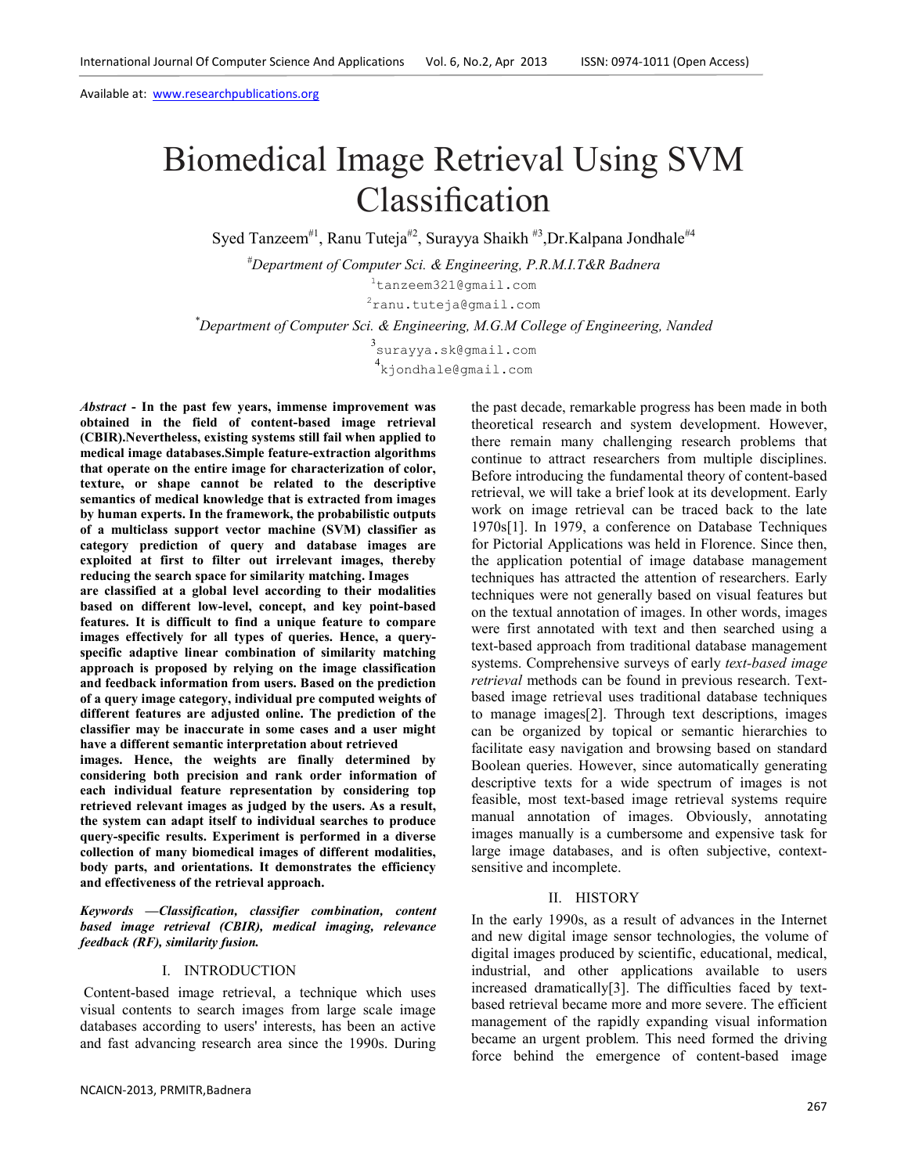# Biomedical Image Retrieval Using SVM Classification

Syed Tanzeem<sup>#1</sup>, Ranu Tuteja<sup>#2</sup>, Surayya Shaikh<sup>#3</sup>, Dr.Kalpana Jondhale<sup>#4</sup>

*#Department of Computer Sci. & Engineering, P.R.M.I.T&R Badnera* 

<sup>1</sup>tanzeem321@gmail.com

<sup>2</sup>ranu.tuteja@gmail.com

*\*Department of Computer Sci. & Engineering, M.G.M College of Engineering, Nanded* 

3 surayya.sk@gmail.com 4 kjondhale@gmail.com

*Abstract* **- In the past few years, immense improvement was obtained in the field of content-based image retrieval (CBIR).Nevertheless, existing systems still fail when applied to medical image databases.Simple feature-extraction algorithms that operate on the entire image for characterization of color, texture, or shape cannot be related to the descriptive semantics of medical knowledge that is extracted from images by human experts. In the framework, the probabilistic outputs of a multiclass support vector machine (SVM) classifier as category prediction of query and database images are exploited at first to filter out irrelevant images, thereby reducing the search space for similarity matching. Images are classified at a global level according to their modalities based on different low-level, concept, and key point-based features. It is difficult to find a unique feature to compare images effectively for all types of queries. Hence, a queryspecific adaptive linear combination of similarity matching approach is proposed by relying on the image classification and feedback information from users. Based on the prediction of a query image category, individual pre computed weights of different features are adjusted online. The prediction of the classifier may be inaccurate in some cases and a user might have a different semantic interpretation about retrieved images. Hence, the weights are finally determined by considering both precision and rank order information of each individual feature representation by considering top retrieved relevant images as judged by the users. As a result, the system can adapt itself to individual searches to produce query-specific results. Experiment is performed in a diverse collection of many biomedical images of different modalities, body parts, and orientations. It demonstrates the efficiency and effectiveness of the retrieval approach.** 

*Keywords* **—***Classification, classifier combination, content based image retrieval (CBIR), medical imaging, relevance feedback (RF), similarity fusion.*

## I. INTRODUCTION

 Content-based image retrieval, a technique which uses visual contents to search images from large scale image databases according to users' interests, has been an active and fast advancing research area since the 1990s. During the past decade, remarkable progress has been made in both theoretical research and system development. However, there remain many challenging research problems that continue to attract researchers from multiple disciplines. Before introducing the fundamental theory of content-based retrieval, we will take a brief look at its development. Early work on image retrieval can be traced back to the late 1970s[1]. In 1979, a conference on Database Techniques for Pictorial Applications was held in Florence. Since then, the application potential of image database management techniques has attracted the attention of researchers. Early techniques were not generally based on visual features but on the textual annotation of images. In other words, images were first annotated with text and then searched using a text-based approach from traditional database management systems. Comprehensive surveys of early *text-based image retrieval* methods can be found in previous research. Textbased image retrieval uses traditional database techniques to manage images[2]. Through text descriptions, images can be organized by topical or semantic hierarchies to facilitate easy navigation and browsing based on standard Boolean queries. However, since automatically generating descriptive texts for a wide spectrum of images is not feasible, most text-based image retrieval systems require manual annotation of images. Obviously, annotating images manually is a cumbersome and expensive task for large image databases, and is often subjective, contextsensitive and incomplete.

## II. HISTORY

In the early 1990s, as a result of advances in the Internet and new digital image sensor technologies, the volume of digital images produced by scientific, educational, medical, industrial, and other applications available to users increased dramatically[3]. The difficulties faced by textbased retrieval became more and more severe. The efficient management of the rapidly expanding visual information became an urgent problem. This need formed the driving force behind the emergence of content-based image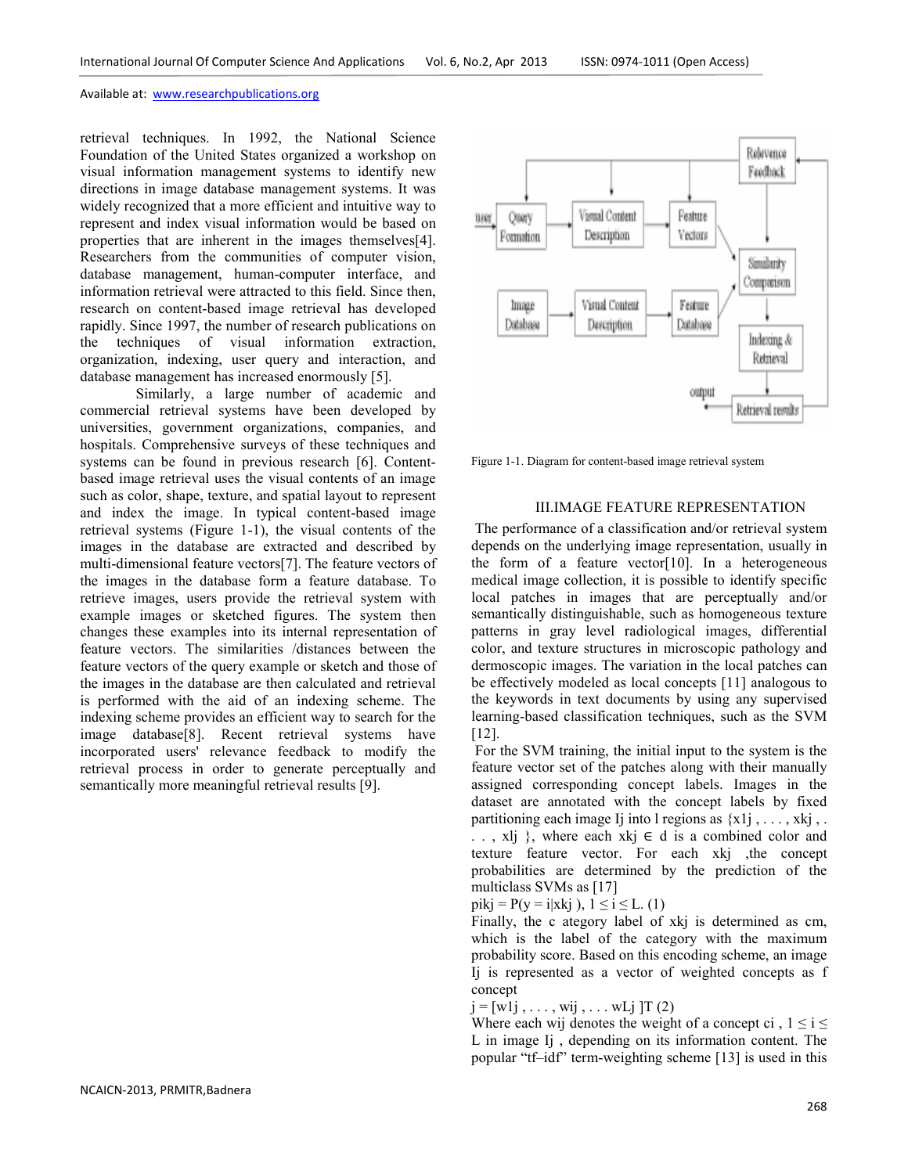retrieval techniques. In 1992, the National Science Foundation of the United States organized a workshop on visual information management systems to identify new directions in image database management systems. It was widely recognized that a more efficient and intuitive way to represent and index visual information would be based on properties that are inherent in the images themselves[4]. Researchers from the communities of computer vision, database management, human-computer interface, and information retrieval were attracted to this field. Since then, research on content-based image retrieval has developed rapidly. Since 1997, the number of research publications on the techniques of visual information extraction, organization, indexing, user query and interaction, and database management has increased enormously [5].

 Similarly, a large number of academic and commercial retrieval systems have been developed by universities, government organizations, companies, and hospitals. Comprehensive surveys of these techniques and systems can be found in previous research [6]. Contentbased image retrieval uses the visual contents of an image such as color, shape, texture, and spatial layout to represent and index the image. In typical content-based image retrieval systems (Figure 1-1), the visual contents of the images in the database are extracted and described by multi-dimensional feature vectors[7]. The feature vectors of the images in the database form a feature database. To retrieve images, users provide the retrieval system with example images or sketched figures. The system then changes these examples into its internal representation of feature vectors. The similarities /distances between the feature vectors of the query example or sketch and those of the images in the database are then calculated and retrieval is performed with the aid of an indexing scheme. The indexing scheme provides an efficient way to search for the image database[8]. Recent retrieval systems have incorporated users' relevance feedback to modify the retrieval process in order to generate perceptually and semantically more meaningful retrieval results [9].



Figure 1-1. Diagram for content-based image retrieval system

## III.IMAGE FEATURE REPRESENTATION

 The performance of a classification and/or retrieval system depends on the underlying image representation, usually in the form of a feature vector $[10]$ . In a heterogeneous medical image collection, it is possible to identify specific local patches in images that are perceptually and/or semantically distinguishable, such as homogeneous texture patterns in gray level radiological images, differential color, and texture structures in microscopic pathology and dermoscopic images. The variation in the local patches can be effectively modeled as local concepts [11] analogous to the keywords in text documents by using any supervised learning-based classification techniques, such as the SVM [12].

 For the SVM training, the initial input to the system is the feature vector set of the patches along with their manually assigned corresponding concept labels. Images in the dataset are annotated with the concept labels by fixed partitioning each image Ij into l regions as  ${x1j, \ldots, xkj, \ldots}$ .., xlj }, where each xkj  $\in$  d is a combined color and texture feature vector. For each xkj ,the concept probabilities are determined by the prediction of the multiclass SVMs as [17]

 $pikj = P(y = i|xki)$ ,  $1 \le i \le L$ . (1)

Finally, the c ategory label of xkj is determined as cm, which is the label of the category with the maximum probability score. Based on this encoding scheme, an image Ij is represented as a vector of weighted concepts as f concept

 $j = [wlj, \ldots, wij, \ldots wLj]$  [T (2)

Where each wij denotes the weight of a concept ci,  $1 \le i \le$ L in image Ij , depending on its information content. The popular "tf–idf" term-weighting scheme [13] is used in this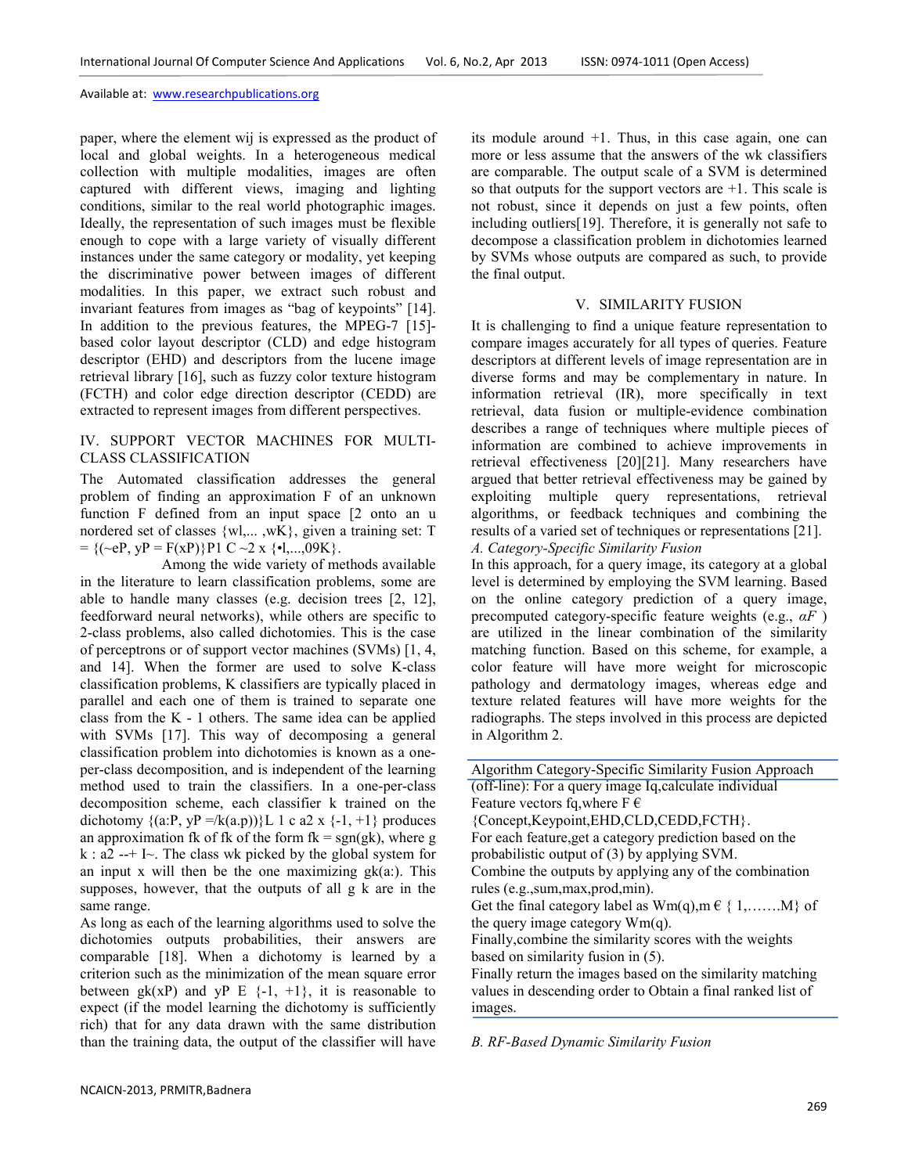paper, where the element wij is expressed as the product of local and global weights. In a heterogeneous medical collection with multiple modalities, images are often captured with different views, imaging and lighting conditions, similar to the real world photographic images. Ideally, the representation of such images must be flexible enough to cope with a large variety of visually different instances under the same category or modality, yet keeping the discriminative power between images of different modalities. In this paper, we extract such robust and invariant features from images as "bag of keypoints" [14]. In addition to the previous features, the MPEG-7 [15] based color layout descriptor (CLD) and edge histogram descriptor (EHD) and descriptors from the lucene image retrieval library [16], such as fuzzy color texture histogram (FCTH) and color edge direction descriptor (CEDD) are extracted to represent images from different perspectives.

## IV. SUPPORT VECTOR MACHINES FOR MULTI-CLASS CLASSIFICATION

The Automated classification addresses the general problem of finding an approximation F of an unknown function F defined from an input space [2 onto an u nordered set of classes {wl,... ,wK}, given a training set: T  $= {(\sim eP, yP = F(xP))}P1 C \sim 2 x {•1,...,09K}.$ 

 Among the wide variety of methods available in the literature to learn classification problems, some are able to handle many classes (e.g. decision trees [2, 12], feedforward neural networks), while others are specific to 2-class problems, also called dichotomies. This is the case of perceptrons or of support vector machines (SVMs) [1, 4, and 14]. When the former are used to solve K-class classification problems, K classifiers are typically placed in parallel and each one of them is trained to separate one class from the K - 1 others. The same idea can be applied with SVMs [17]. This way of decomposing a general classification problem into dichotomies is known as a oneper-class decomposition, and is independent of the learning method used to train the classifiers. In a one-per-class decomposition scheme, each classifier k trained on the dichotomy  $\{(a:P, yP = / k(a.p))\}L 1 c a2 x {-1, +1}$  produces an approximation fk of fk of the form  $fk = sgn(gk)$ , where g  $k : a2 -+ I \sim$ . The class wk picked by the global system for an input x will then be the one maximizing  $g_k(a)$ . This supposes, however, that the outputs of all g k are in the same range.

As long as each of the learning algorithms used to solve the dichotomies outputs probabilities, their answers are comparable [18]. When a dichotomy is learned by a criterion such as the minimization of the mean square error between  $g_k(xP)$  and  $yP \to \{-1, +1\}$ , it is reasonable to expect (if the model learning the dichotomy is sufficiently rich) that for any data drawn with the same distribution than the training data, the output of the classifier will have

its module around +1. Thus, in this case again, one can more or less assume that the answers of the wk classifiers are comparable. The output scale of a SVM is determined so that outputs for the support vectors are +1. This scale is not robust, since it depends on just a few points, often including outliers[19]. Therefore, it is generally not safe to decompose a classification problem in dichotomies learned by SVMs whose outputs are compared as such, to provide the final output.

## V. SIMILARITY FUSION

It is challenging to find a unique feature representation to compare images accurately for all types of queries. Feature descriptors at different levels of image representation are in diverse forms and may be complementary in nature. In information retrieval (IR), more specifically in text retrieval, data fusion or multiple-evidence combination describes a range of techniques where multiple pieces of information are combined to achieve improvements in retrieval effectiveness [20][21]. Many researchers have argued that better retrieval effectiveness may be gained by exploiting multiple query representations, retrieval algorithms, or feedback techniques and combining the results of a varied set of techniques or representations [21]. *A. Category-Specific Similarity Fusion* 

In this approach, for a query image, its category at a global level is determined by employing the SVM learning. Based on the online category prediction of a query image, precomputed category-specific feature weights (e.g., *αF* ) are utilized in the linear combination of the similarity matching function. Based on this scheme, for example, a color feature will have more weight for microscopic pathology and dermatology images, whereas edge and texture related features will have more weights for the radiographs. The steps involved in this process are depicted in Algorithm 2.

Algorithm Category-Specific Similarity Fusion Approach (off-line): For a query image Iq,calculate individual Feature vectors fq, where  $F \in$ {Concept,Keypoint,EHD,CLD,CEDD,FCTH}. For each feature,get a category prediction based on the probabilistic output of (3) by applying SVM. Combine the outputs by applying any of the combination rules (e.g.,sum,max,prod,min). Get the final category label as  $Wm(q), m \in \{1, \ldots, M\}$  of the query image category  $Wm(q)$ . Finally,combine the similarity scores with the weights based on similarity fusion in (5). Finally return the images based on the similarity matching values in descending order to Obtain a final ranked list of images.

*B. RF-Based Dynamic Similarity Fusion*